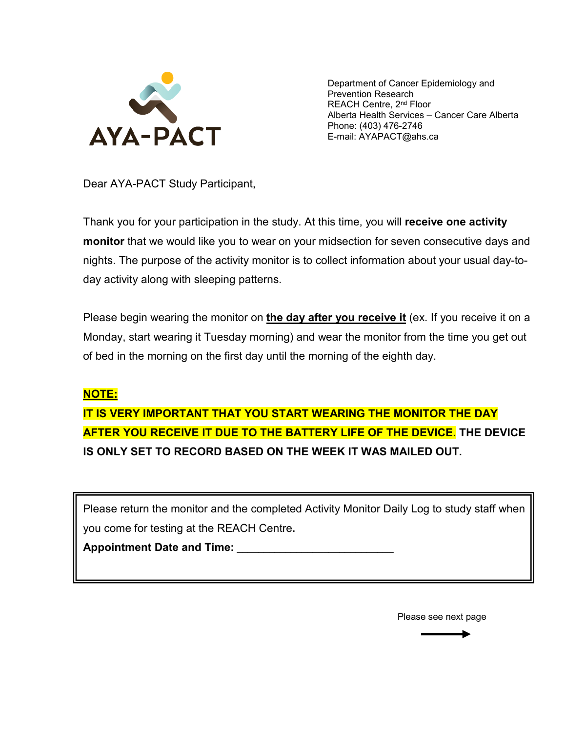

Department of Cancer Epidemiology and Prevention Research REACH Centre, 2<sup>nd</sup> Floor Alberta Health Services – Cancer Care Alberta Phone: (403) 476-2746 E-mail: AYAPACT@ahs.ca

Dear AYA-PACT Study Participant,

Thank you for your participation in the study. At this time, you will **receive one activity monitor** that we would like you to wear on your midsection for seven consecutive days and nights. The purpose of the activity monitor is to collect information about your usual day-today activity along with sleeping patterns.

Please begin wearing the monitor on **the day after you receive it** (ex. If you receive it on a Monday, start wearing it Tuesday morning) and wear the monitor from the time you get out of bed in the morning on the first day until the morning of the eighth day.

## **NOTE:**

**IT IS VERY IMPORTANT THAT YOU START WEARING THE MONITOR THE DAY AFTER YOU RECEIVE IT DUE TO THE BATTERY LIFE OF THE DEVICE. THE DEVICE IS ONLY SET TO RECORD BASED ON THE WEEK IT WAS MAILED OUT.**

Please return the monitor and the completed Activity Monitor Daily Log to study staff when you come for testing at the REACH Centre**.**

**Appointment Date and Time:** \_\_\_\_\_\_\_\_\_\_\_\_\_\_\_\_\_\_\_\_\_\_\_\_\_\_\_\_\_

Please see next page